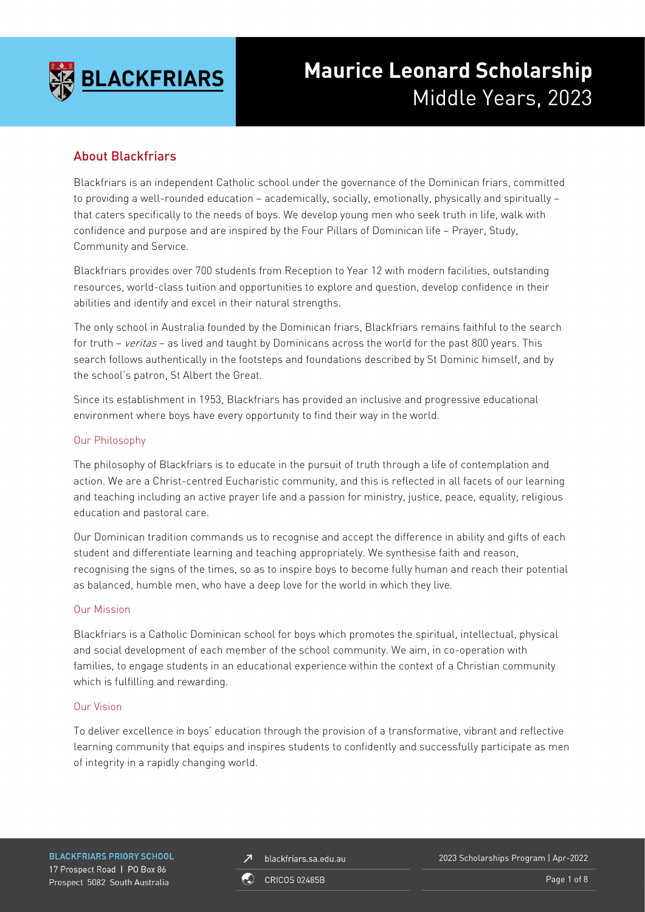

# **Maurice Leonard Scholarship** Middle Years, 2023

# About Blackfriars

Blackfriars is an independent Catholic school under the governance of the Dominican friars, committed to providing a well-rounded education – academically, socially, emotionally, physically and spiritually – that caters specifically to the needs of boys. We develop young men who seek truth in life, walk with confidence and purpose and are inspired by the Four Pillars of Dominican life – Prayer, Study, Community and Service.

Blackfriars provides over 700 students from Reception to Year 12 with modern facilities, outstanding resources, world-class tuition and opportunities to explore and question, develop confidence in their abilities and identify and excel in their natural strengths.

The only school in Australia founded by the Dominican friars, Blackfriars remains faithful to the search for truth – veritas – as lived and taught by Dominicans across the world for the past 800 years. This search follows authentically in the footsteps and foundations described by St Dominic himself, and by the school's patron, St Albert the Great.

Since its establishment in 1953, Blackfriars has provided an inclusive and progressive educational environment where boys have every opportunity to find their way in the world.

### Our Philosophy

The philosophy of Blackfriars is to educate in the pursuit of truth through a life of contemplation and action. We are a Christ-centred Eucharistic community, and this is reflected in all facets of our learning and teaching including an active prayer life and a passion for ministry, justice, peace, equality, religious education and pastoral care.

Our Dominican tradition commands us to recognise and accept the difference in ability and gifts of each student and differentiate learning and teaching appropriately. We synthesise faith and reason, recognising the signs of the times, so as to inspire boys to become fully human and reach their potential as balanced, humble men, who have a deep love for the world in which they live.

### Our Mission

Blackfriars is a Catholic Dominican school for boys which promotes the spiritual, intellectual, physical and social development of each member of the school community. We aim, in co-operation with families, to engage students in an educational experience within the context of a Christian community which is fulfilling and rewarding.

### Our Vision

To deliver excellence in boys' education through the provision of a transformative, vibrant and reflective learning community that equips and inspires students to confidently and successfully participate as men of integrity in a rapidly changing world.

**BLACKFRIARS PRIORY SCHOOL** 17 Prospect Road | PO Box 86 Prospect 5082 South Australia

blackfriars.sa.edu.au  $\overline{\mathbf{z}}$ 

2023 Scholarships Program | Apr-2022

**CRICOS 02485B** 

Page 1 of 8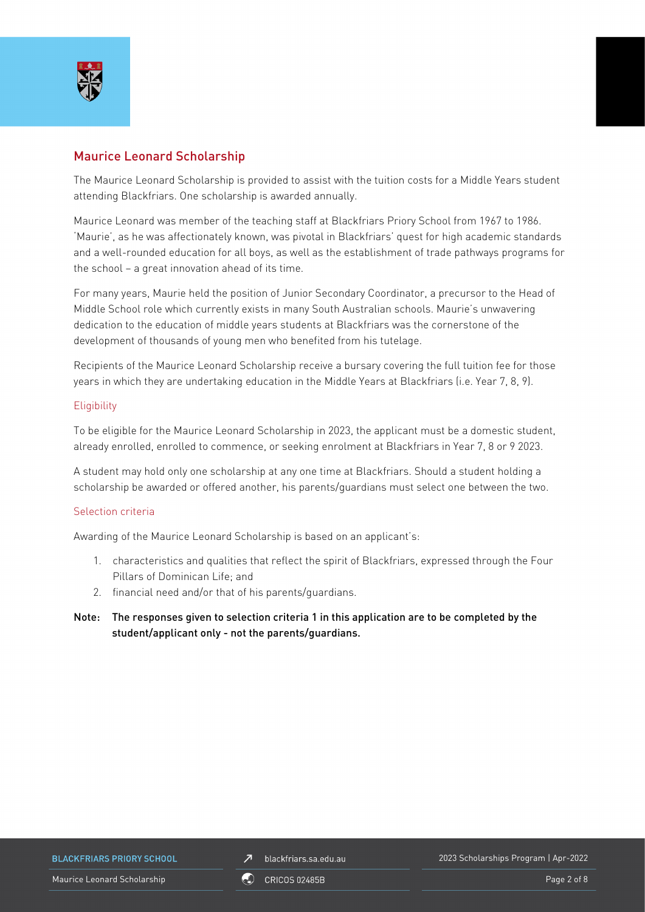

# Maurice Leonard Scholarship

The Maurice Leonard Scholarship is provided to assist with the tuition costs for a Middle Years student attending Blackfriars. One scholarship is awarded annually.

Maurice Leonard was member of the teaching staff at Blackfriars Priory School from 1967 to 1986. 'Maurie', as he was affectionately known, was pivotal in Blackfriars' quest for high academic standards and a well-rounded education for all boys, as well as the establishment of trade pathways programs for the school – a great innovation ahead of its time.

For many years, Maurie held the position of Junior Secondary Coordinator, a precursor to the Head of Middle School role which currently exists in many South Australian schools. Maurie's unwavering dedication to the education of middle years students at Blackfriars was the cornerstone of the development of thousands of young men who benefited from his tutelage.

Recipients of the Maurice Leonard Scholarship receive a bursary covering the full tuition fee for those years in which they are undertaking education in the Middle Years at Blackfriars (i.e. Year 7, 8, 9).

### **Eligibility**

To be eligible for the Maurice Leonard Scholarship in 2023, the applicant must be a domestic student, already enrolled, enrolled to commence, or seeking enrolment at Blackfriars in Year 7, 8 or 9 2023.

A student may hold only one scholarship at any one time at Blackfriars. Should a student holding a scholarship be awarded or offered another, his parents/guardians must select one between the two.

### Selection criteria

Awarding of the Maurice Leonard Scholarship is based on an applicant's:

- 1. characteristics and qualities that reflect the spirit of Blackfriars, expressed through the Four Pillars of Dominican Life; and
- 2. financial need and/or that of his parents/guardians.
- Note: The responses given to selection criteria 1 in this application are to be completed by the student/applicant only - not the parents/guardians.

**BLACKFRIARS PRIORY SCHOOL** 

blackfriars.sa.edu.au  $\overline{\mathbf{z}}$ 

2023 Scholarships Program | Apr-2022

Maurice Leonard Scholarship New York 1988, CRICOS 02485B New York 1999, Page 2 of 8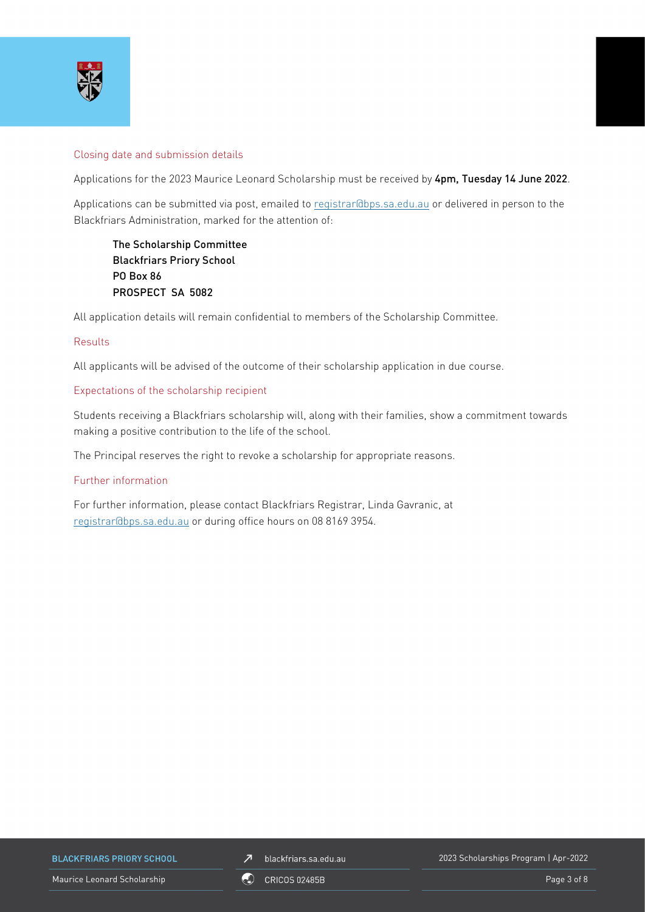

### Closing date and submission details

Applications for the 2023 Maurice Leonard Scholarship must be received by 4pm, Tuesday 14 June 2022.

Applications can be submitted via post, emailed to [registrar@bps.sa.edu.au](mailto:registrar@bps.sa.edu.au) or delivered in person to the Blackfriars Administration, marked for the attention of:

The Scholarship Committee Blackfriars Priory School PO Box 86 PROSPECT SA 5082

All application details will remain confidential to members of the Scholarship Committee.

### Results

All applicants will be advised of the outcome of their scholarship application in due course.

#### Expectations of the scholarship recipient

Students receiving a Blackfriars scholarship will, along with their families, show a commitment towards making a positive contribution to the life of the school.

The Principal reserves the right to revoke a scholarship for appropriate reasons.

### Further information

For further information, please contact Blackfriars Registrar, Linda Gavranic, at [registrar@bps.sa.edu.au](mailto:registrar@bps.sa.edu.au) or during office hours on 08 8169 3954.

**BLACKFRIARS PRIORY SCHOOL** 

 $\n *J*\n blackfriars.sa.edu.au\n$ 

2023 Scholarships Program | Apr-2022

Maurice Leonard Scholarship **Page 3 of 8** ORICOS 02485B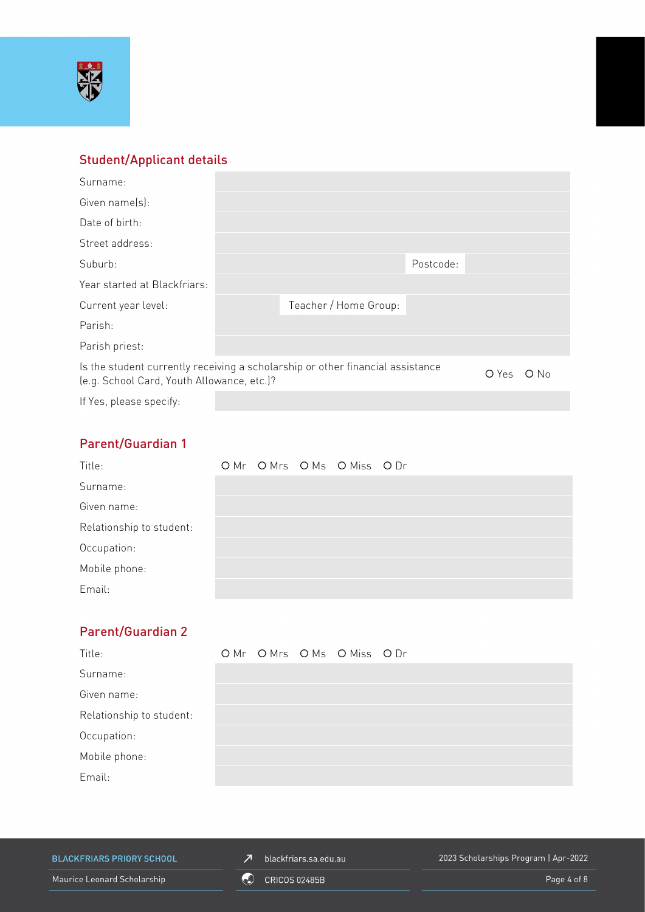

# Student/Applicant details

| Surname:                                                                                                                     |  |                       |           |  |        |
|------------------------------------------------------------------------------------------------------------------------------|--|-----------------------|-----------|--|--------|
| Given name(s):                                                                                                               |  |                       |           |  |        |
| Date of birth:                                                                                                               |  |                       |           |  |        |
| Street address:                                                                                                              |  |                       |           |  |        |
| Suburb:                                                                                                                      |  |                       | Postcode: |  |        |
| Year started at Blackfriars:                                                                                                 |  |                       |           |  |        |
| Current year level:                                                                                                          |  | Teacher / Home Group: |           |  |        |
| Parish:                                                                                                                      |  |                       |           |  |        |
| Parish priest:                                                                                                               |  |                       |           |  |        |
| Is the student currently receiving a scholarship or other financial assistance<br>(e.g. School Card, Youth Allowance, etc.)? |  |                       |           |  | $O$ No |
| If Yes, please specify:                                                                                                      |  |                       |           |  |        |

# Parent/Guardian 1

| Title:                   |  | OMr OMrs OMs OMiss ODr |  |
|--------------------------|--|------------------------|--|
| Surname:                 |  |                        |  |
| Given name:              |  |                        |  |
| Relationship to student: |  |                        |  |
| Occupation:              |  |                        |  |
| Mobile phone:            |  |                        |  |
| Email:                   |  |                        |  |

# Parent/Guardian 2

| Title:                   |  | OMr OMrs OMs OMiss ODr |  |
|--------------------------|--|------------------------|--|
| Surname:                 |  |                        |  |
| Given name:              |  |                        |  |
| Relationship to student: |  |                        |  |
| Occupation:              |  |                        |  |
| Mobile phone:            |  |                        |  |
| Email:                   |  |                        |  |

**BLACKFRIARS PRIORY SCHOOL** 

 $\n *J*\n blackfriars.sa.edu.au\n$ 

2023 Scholarships Program | Apr-2022

Maurice Leonard Scholarship **Contract Contract Contract Contract Contract Contract Contract Contract Contract Contract Contract Contract Page 4 of 8 and 2014 10 million Page 4 of 8**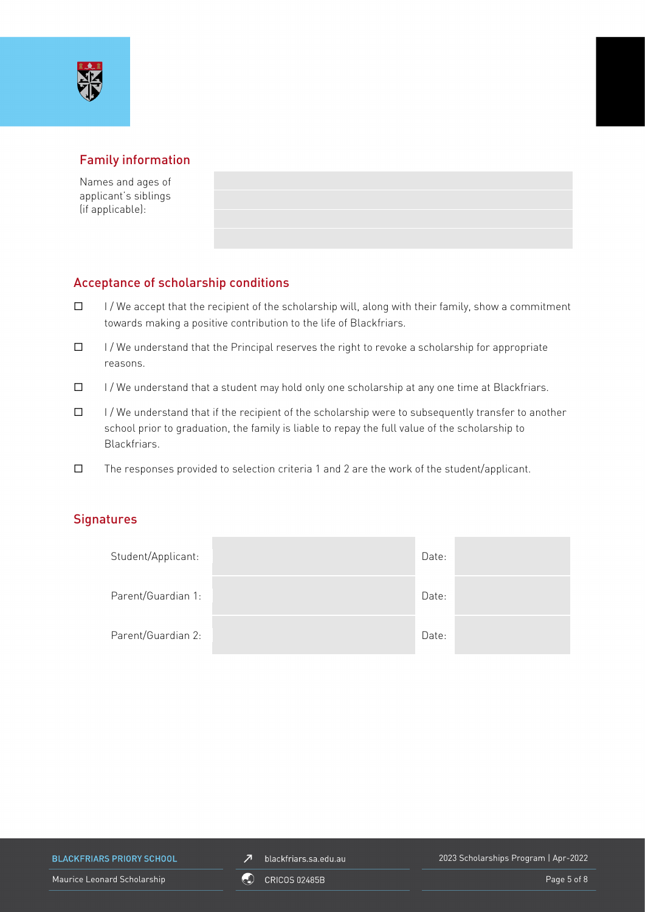

# Family information

Names and ages of applicant's siblings (if applicable):

## Acceptance of scholarship conditions

- $\Box$  I/We accept that the recipient of the scholarship will, along with their family, show a commitment towards making a positive contribution to the life of Blackfriars.
- $\Box$  I/We understand that the Principal reserves the right to revoke a scholarship for appropriate reasons.
- $\Box$  I/We understand that a student may hold only one scholarship at any one time at Blackfriars.
- $\Box$  I/We understand that if the recipient of the scholarship were to subsequently transfer to another school prior to graduation, the family is liable to repay the full value of the scholarship to Blackfriars.
- $\square$  The responses provided to selection criteria 1 and 2 are the work of the student/applicant.

### **Signatures**

| Student/Applicant: | Date: |  |
|--------------------|-------|--|
| Parent/Guardian 1: | Date: |  |
| Parent/Guardian 2: | Date: |  |

**BLACKFRIARS PRIORY SCHOOL** 

 $\n *J*\n blackfriars.sa.edu.au\n$ 

2023 Scholarships Program | Apr-2022

Maurice Leonard Scholarship **Page 5 of 8** CRICOS 02485B **Page 5 of 8** Page 5 of 8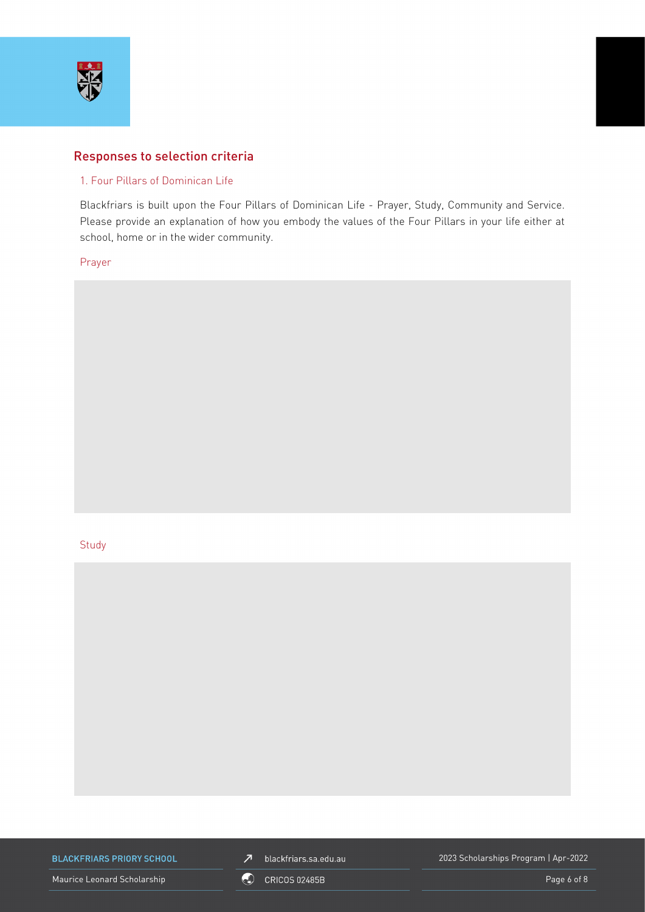

### Responses to selection criteria

### 1. Four Pillars of Dominican Life

Blackfriars is built upon the Four Pillars of Dominican Life - Prayer, Study, Community and Service. Please provide an explanation of how you embody the values of the Four Pillars in your life either at school, home or in the wider community.

Prayer

#### **Study**



**BLACKFRIARS PRIORY SCHOOL** 

 $\n *J*\n blackfriars.sa.edu.au\n$ 

2023 Scholarships Program | Apr-2022

Maurice Leonard Scholarship **COU** CRICOS 02485B **Page 6 of 8** Page 6 of 8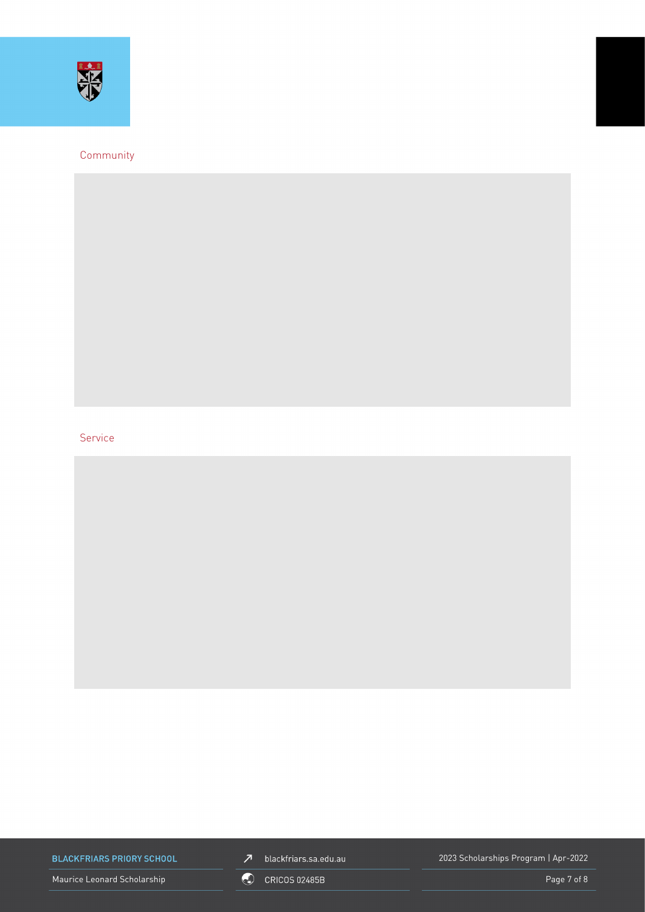

### Community

### Service

**BLACKFRIARS PRIORY SCHOOL** 

Maurice Leonard Scholarship **Contract Contract Contract Contract Contract Contract Contract Contract Contract Contract Contract Contract Page 7 of 8 and 2014 10 million Page 7 of 8** 



2023 Scholarships Program | Apr-2022